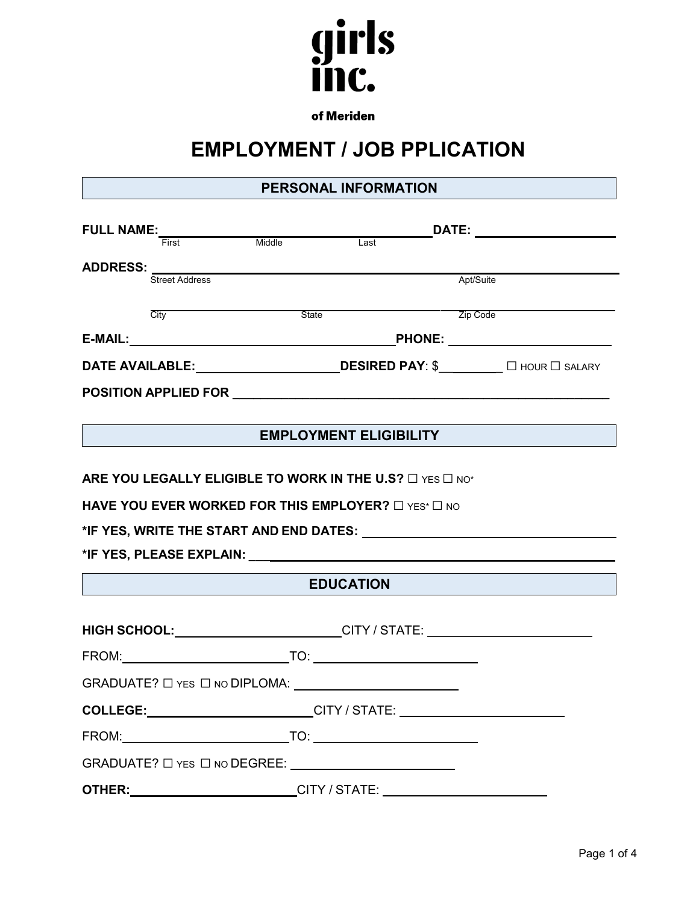

of Meriden

# **EMPLOYMENT / JOB PPLICATION**

# **PERSONAL INFORMATION**

| <b>FULL NAME:</b>                                                                                                                                                                                                                    |                       |              | DATE:                         |                                        |  |
|--------------------------------------------------------------------------------------------------------------------------------------------------------------------------------------------------------------------------------------|-----------------------|--------------|-------------------------------|----------------------------------------|--|
|                                                                                                                                                                                                                                      | First                 | Middle       | Last                          |                                        |  |
| <b>ADDRESS:</b>                                                                                                                                                                                                                      |                       |              |                               |                                        |  |
|                                                                                                                                                                                                                                      | <b>Street Address</b> |              |                               | Apt/Suite                              |  |
|                                                                                                                                                                                                                                      |                       |              |                               |                                        |  |
|                                                                                                                                                                                                                                      | City                  | <b>State</b> |                               | Zip Code                               |  |
| E-MAIL:                                                                                                                                                                                                                              |                       |              | <b>PHONE:</b>                 |                                        |  |
| <b>DATE AVAILABLE:</b>                                                                                                                                                                                                               |                       |              |                               | <b>DESIRED PAY: \$</b> □ HOUR □ SALARY |  |
| <b>POSITION APPLIED FOR EXAMPLEMENT CONTROLLER STATES OF A STATE OF A STATE OF A STATE OF A STATE OF A STATE OF A STATE OF A STATE OF A STATE OF A STATE OF A STATE OF A STATE OF A STATE OF A STATE OF A STATE OF A STATE OF A </b> |                       |              |                               |                                        |  |
|                                                                                                                                                                                                                                      |                       |              |                               |                                        |  |
|                                                                                                                                                                                                                                      |                       |              | <b>EMPLOYMENT ELIGIBILITY</b> |                                        |  |
|                                                                                                                                                                                                                                      |                       |              |                               |                                        |  |

**ARE YOU LEGALLY ELIGIBLE TO WORK IN THE U.S?** □ YES □ NO<sup>\*</sup>

**HAVE YOU EVER WORKED FOR THIS EMPLOYER?** □ YES<sup>\*</sup> □ NO

**\*IF YES, WRITE THE START AND END DATES:**

**\*IF YES, PLEASE EXPLAIN: \_\_\_**

## **EDUCATION**

|                                                                                | HIGH SCHOOL: _________________________CITY / STATE: ____________________________ |  |  |
|--------------------------------------------------------------------------------|----------------------------------------------------------------------------------|--|--|
|                                                                                |                                                                                  |  |  |
| $GRADUATE?$ $\Box$ YES $\Box$ NO DIPLOMA: $\_\_\_\_\_\_\_\_\_\_\_\_\_\_\_\_\_$ |                                                                                  |  |  |
|                                                                                | COLLEGE:__________________________CITY / STATE: ________________________________ |  |  |
|                                                                                |                                                                                  |  |  |
| $GRADUATE? \Box$ YES $\Box$ NO DEGREE:                                         |                                                                                  |  |  |
| OTHER:                                                                         |                                                                                  |  |  |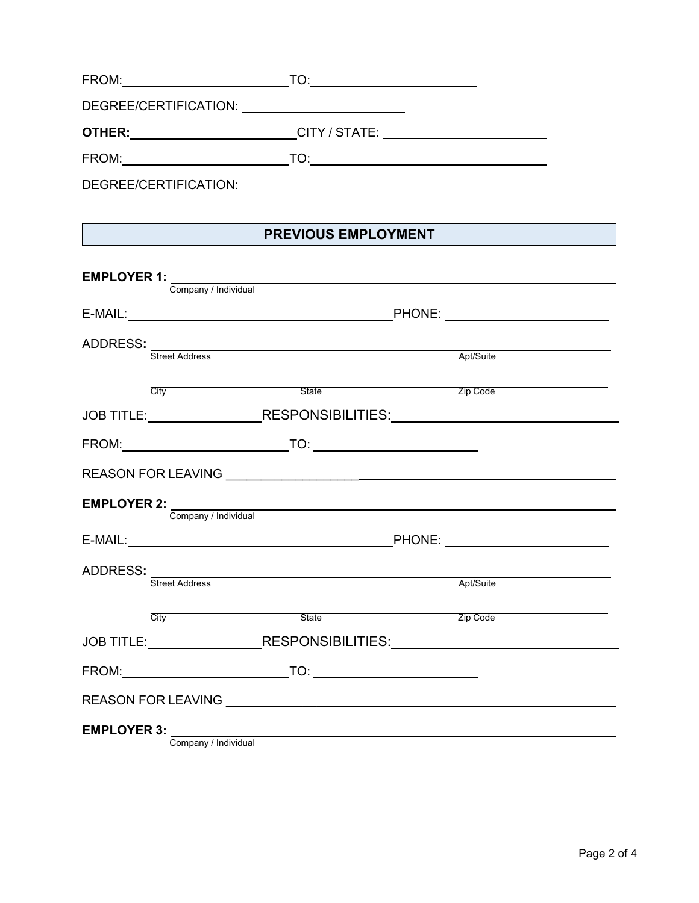| FROM:                       | TOʻ           |  |
|-----------------------------|---------------|--|
| DEGREE/CERTIFICATION: UNITS |               |  |
| OTHER:                      | CITY / STATE: |  |
| FROM:                       | TO:           |  |
| DEGREE/CERTIFICATION:       |               |  |

# **PREVIOUS EMPLOYMENT**

| Company / Individual                    |                                                                                                                      |                                                                                  |
|-----------------------------------------|----------------------------------------------------------------------------------------------------------------------|----------------------------------------------------------------------------------|
|                                         |                                                                                                                      |                                                                                  |
| <b>Street Address</b>                   |                                                                                                                      | Apt/Suite                                                                        |
| City                                    | State                                                                                                                | <b>Zip Code</b>                                                                  |
|                                         |                                                                                                                      | JOB TITLE:__________________RESPONSIBILITIES:___________________________________ |
|                                         |                                                                                                                      |                                                                                  |
|                                         |                                                                                                                      |                                                                                  |
| <b>EMPLOYER 2:</b> Company / Individual | <u> 1980 - Johann Barn, mars ann an t-Amhain Aonaich an t-Aonaich an t-Aonaich ann an t-Aonaich ann an t-Aonaich</u> |                                                                                  |
|                                         |                                                                                                                      |                                                                                  |
|                                         | ADDRESS:<br>Street Address                                                                                           | Apt/Suite                                                                        |
|                                         | <b>City</b> State State                                                                                              | Zip Code                                                                         |
|                                         |                                                                                                                      | JOB TITLE: ______________________RESPONSIBILITIES:______________________________ |
|                                         |                                                                                                                      |                                                                                  |
|                                         |                                                                                                                      |                                                                                  |
| Company / Individual                    |                                                                                                                      |                                                                                  |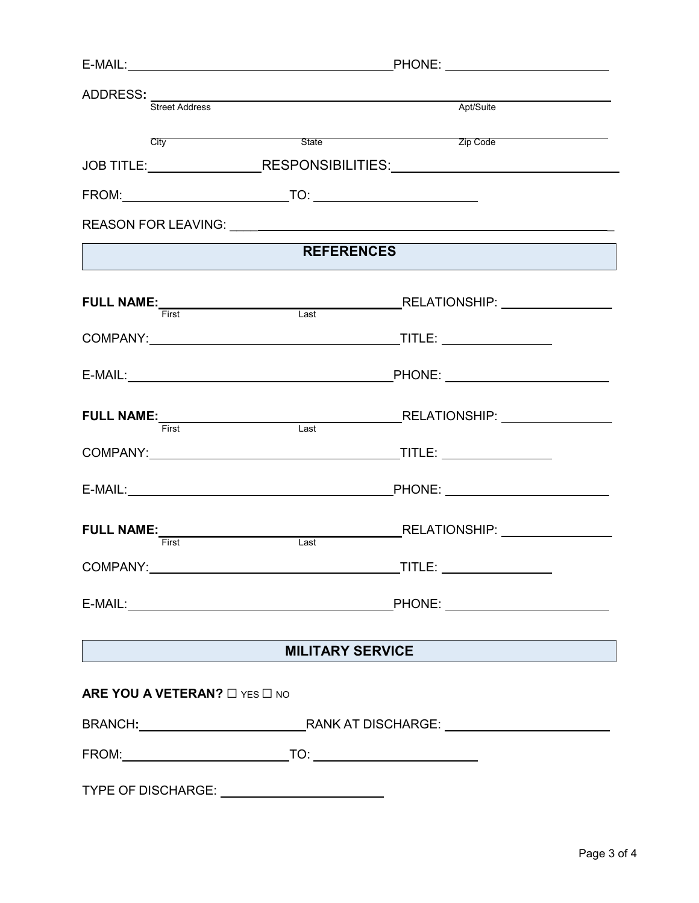| ADDRESS: Street Address                       |                         | Apt/Suite                                                                        |  |
|-----------------------------------------------|-------------------------|----------------------------------------------------------------------------------|--|
|                                               |                         |                                                                                  |  |
| City                                          |                         | <u>State</u><br>State<br>2ip Code                                                |  |
|                                               |                         | JOB TITLE:___________________RESPONSIBILITIES:__________________________________ |  |
|                                               |                         |                                                                                  |  |
|                                               |                         |                                                                                  |  |
|                                               | <b>REFERENCES</b>       |                                                                                  |  |
|                                               |                         |                                                                                  |  |
|                                               |                         |                                                                                  |  |
|                                               |                         |                                                                                  |  |
|                                               | Last                    | FULL NAME:<br>First Einst Last RELATIONSHIP:                                     |  |
|                                               |                         |                                                                                  |  |
|                                               |                         |                                                                                  |  |
| FULL NAME:<br>First                           | Last                    |                                                                                  |  |
|                                               |                         |                                                                                  |  |
|                                               |                         |                                                                                  |  |
|                                               | <b>MILITARY SERVICE</b> |                                                                                  |  |
| ARE YOU A VETERAN? $\square$ YES $\square$ NO |                         |                                                                                  |  |
|                                               |                         |                                                                                  |  |
|                                               |                         |                                                                                  |  |
|                                               |                         |                                                                                  |  |